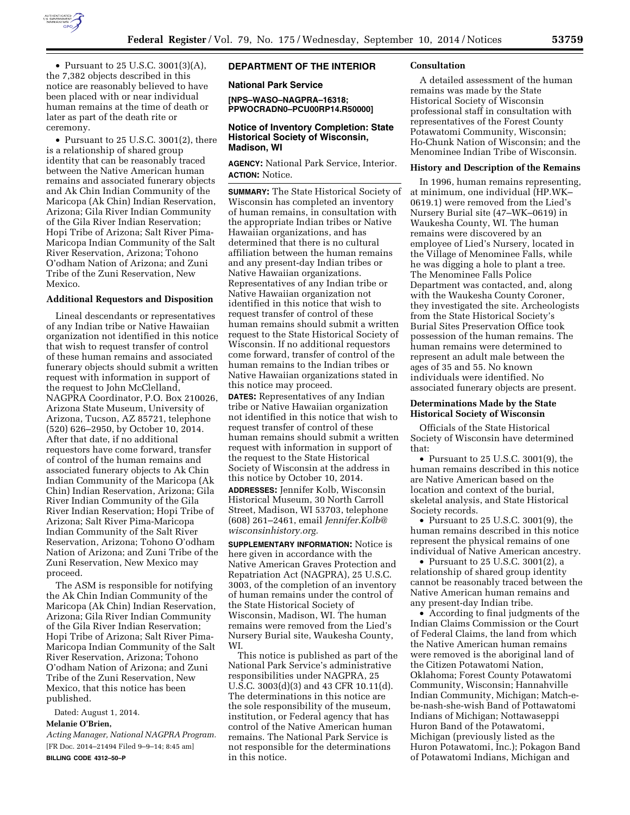

• Pursuant to 25 U.S.C.  $3001(3)(A)$ , the 7,382 objects described in this notice are reasonably believed to have been placed with or near individual human remains at the time of death or later as part of the death rite or ceremony.

• Pursuant to 25 U.S.C. 3001(2), there is a relationship of shared group identity that can be reasonably traced between the Native American human remains and associated funerary objects and Ak Chin Indian Community of the Maricopa (Ak Chin) Indian Reservation, Arizona; Gila River Indian Community of the Gila River Indian Reservation; Hopi Tribe of Arizona; Salt River Pima-Maricopa Indian Community of the Salt River Reservation, Arizona; Tohono O'odham Nation of Arizona; and Zuni Tribe of the Zuni Reservation, New Mexico.

# **Additional Requestors and Disposition**

Lineal descendants or representatives of any Indian tribe or Native Hawaiian organization not identified in this notice that wish to request transfer of control of these human remains and associated funerary objects should submit a written request with information in support of the request to John McClelland, NAGPRA Coordinator, P.O. Box 210026, Arizona State Museum, University of Arizona, Tucson, AZ 85721, telephone (520) 626–2950, by October 10, 2014. After that date, if no additional requestors have come forward, transfer of control of the human remains and associated funerary objects to Ak Chin Indian Community of the Maricopa (Ak Chin) Indian Reservation, Arizona; Gila River Indian Community of the Gila River Indian Reservation; Hopi Tribe of Arizona; Salt River Pima-Maricopa Indian Community of the Salt River Reservation, Arizona; Tohono O'odham Nation of Arizona; and Zuni Tribe of the Zuni Reservation, New Mexico may proceed.

The ASM is responsible for notifying the Ak Chin Indian Community of the Maricopa (Ak Chin) Indian Reservation, Arizona; Gila River Indian Community of the Gila River Indian Reservation; Hopi Tribe of Arizona; Salt River Pima-Maricopa Indian Community of the Salt River Reservation, Arizona; Tohono O'odham Nation of Arizona; and Zuni Tribe of the Zuni Reservation, New Mexico, that this notice has been published.

Dated: August 1, 2014.

# **Melanie O'Brien,**

*Acting Manager, National NAGPRA Program.*  [FR Doc. 2014–21494 Filed 9–9–14; 8:45 am] **BILLING CODE 4312–50–P** 

# **DEPARTMENT OF THE INTERIOR**

# **National Park Service**

**[NPS–WASO–NAGPRA–16318; PPWOCRADN0–PCU00RP14.R50000]** 

## **Notice of Inventory Completion: State Historical Society of Wisconsin, Madison, WI**

**AGENCY:** National Park Service, Interior. **ACTION:** Notice.

**SUMMARY:** The State Historical Society of Wisconsin has completed an inventory of human remains, in consultation with the appropriate Indian tribes or Native Hawaiian organizations, and has determined that there is no cultural affiliation between the human remains and any present-day Indian tribes or Native Hawaiian organizations. Representatives of any Indian tribe or Native Hawaiian organization not identified in this notice that wish to request transfer of control of these human remains should submit a written request to the State Historical Society of Wisconsin. If no additional requestors come forward, transfer of control of the human remains to the Indian tribes or Native Hawaiian organizations stated in this notice may proceed.

**DATES:** Representatives of any Indian tribe or Native Hawaiian organization not identified in this notice that wish to request transfer of control of these human remains should submit a written request with information in support of the request to the State Historical Society of Wisconsin at the address in this notice by October 10, 2014. **ADDRESSES:** Jennifer Kolb, Wisconsin Historical Museum, 30 North Carroll Street, Madison, WI 53703, telephone (608) 261–2461, email *[Jennifer.Kolb@](mailto:Jennifer.Kolb@wisconsinhistory.org) [wisconsinhistory.org.](mailto:Jennifer.Kolb@wisconsinhistory.org)* 

**SUPPLEMENTARY INFORMATION:** Notice is here given in accordance with the Native American Graves Protection and Repatriation Act (NAGPRA), 25 U.S.C. 3003, of the completion of an inventory of human remains under the control of the State Historical Society of Wisconsin, Madison, WI. The human remains were removed from the Lied's Nursery Burial site, Waukesha County, WI.

This notice is published as part of the National Park Service's administrative responsibilities under NAGPRA, 25 U.S.C. 3003(d)(3) and 43 CFR 10.11(d). The determinations in this notice are the sole responsibility of the museum, institution, or Federal agency that has control of the Native American human remains. The National Park Service is not responsible for the determinations in this notice.

# **Consultation**

A detailed assessment of the human remains was made by the State Historical Society of Wisconsin professional staff in consultation with representatives of the Forest County Potawatomi Community, Wisconsin; Ho-Chunk Nation of Wisconsin; and the Menominee Indian Tribe of Wisconsin.

## **History and Description of the Remains**

In 1996, human remains representing, at minimum, one individual (HP.WK– 0619.1) were removed from the Lied's Nursery Burial site (47–WK–0619) in Waukesha County, WI. The human remains were discovered by an employee of Lied's Nursery, located in the Village of Menominee Falls, while he was digging a hole to plant a tree. The Menominee Falls Police Department was contacted, and, along with the Waukesha County Coroner, they investigated the site. Archeologists from the State Historical Society's Burial Sites Preservation Office took possession of the human remains. The human remains were determined to represent an adult male between the ages of 35 and 55. No known individuals were identified. No associated funerary objects are present.

## **Determinations Made by the State Historical Society of Wisconsin**

Officials of the State Historical Society of Wisconsin have determined that:

• Pursuant to 25 U.S.C. 3001(9), the human remains described in this notice are Native American based on the location and context of the burial, skeletal analysis, and State Historical Society records.

• Pursuant to 25 U.S.C. 3001(9), the human remains described in this notice represent the physical remains of one individual of Native American ancestry.

• Pursuant to 25 U.S.C. 3001(2), a relationship of shared group identity cannot be reasonably traced between the Native American human remains and any present-day Indian tribe.

• According to final judgments of the Indian Claims Commission or the Court of Federal Claims, the land from which the Native American human remains were removed is the aboriginal land of the Citizen Potawatomi Nation, Oklahoma; Forest County Potawatomi Community, Wisconsin; Hannahville Indian Community, Michigan; Match-ebe-nash-she-wish Band of Pottawatomi Indians of Michigan; Nottawaseppi Huron Band of the Potawatomi, Michigan (previously listed as the Huron Potawatomi, Inc.); Pokagon Band of Potawatomi Indians, Michigan and